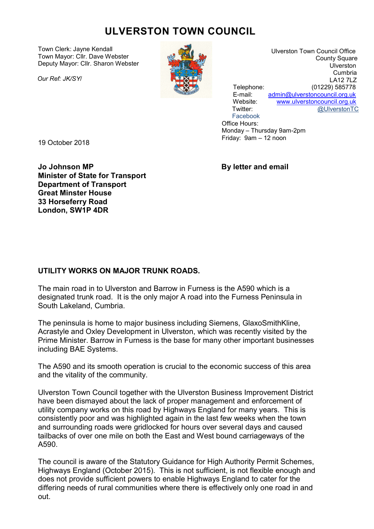## ULVERSTON TOWN COUNCIL

Town Clerk: Jayne Kendall Town Mayor: Cllr. Dave Webster Deputy Mayor: Cllr. Sharon Webster

Our Ref: JK/SY/



 Ulverston Town Council Office County Square Ulverston Cumbria LA12 7LZ Telephone: (01229) 585778<br>F-mail: admin@ulverstoncouncil.org.uk admin@ulverstoncouncil.org.uk Website: www.ulverstoncouncil.org.uk Twitter: @UlverstonTC Facebook

 Office Hours: Monday – Thursday 9am-2pm Friday: 9am – 12 noon

19 October 2018

Jo Johnson MP By letter and email Minister of State for Transport Department of Transport Great Minster House 33 Horseferry Road London, SW1P 4DR

## UTILITY WORKS ON MAJOR TRUNK ROADS.

The main road in to Ulverston and Barrow in Furness is the A590 which is a designated trunk road. It is the only major A road into the Furness Peninsula in South Lakeland, Cumbria.

The peninsula is home to major business including Siemens, GlaxoSmithKline, Acrastyle and Oxley Development in Ulverston, which was recently visited by the Prime Minister. Barrow in Furness is the base for many other important businesses including BAE Systems.

The A590 and its smooth operation is crucial to the economic success of this area and the vitality of the community.

Ulverston Town Council together with the Ulverston Business Improvement District have been dismayed about the lack of proper management and enforcement of utility company works on this road by Highways England for many years. This is consistently poor and was highlighted again in the last few weeks when the town and surrounding roads were gridlocked for hours over several days and caused tailbacks of over one mile on both the East and West bound carriageways of the A590.

The council is aware of the Statutory Guidance for High Authority Permit Schemes, Highways England (October 2015). This is not sufficient, is not flexible enough and does not provide sufficient powers to enable Highways England to cater for the differing needs of rural communities where there is effectively only one road in and out.